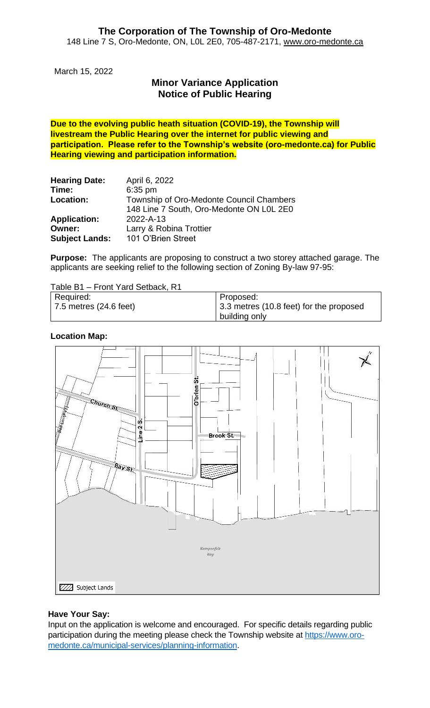March 15, 2022

# **Minor Variance Application Notice of Public Hearing**

**Due to the evolving public heath situation (COVID-19), the Township will livestream the Public Hearing over the internet for public viewing and participation. Please refer to the Township's website (oro-medonte.ca) for Public Hearing viewing and participation information.**

| <b>Hearing Date:</b><br>Time: | April 6, 2022<br>$6:35$ pm               |
|-------------------------------|------------------------------------------|
|                               |                                          |
| Location:                     | Township of Oro-Medonte Council Chambers |
|                               | 148 Line 7 South, Oro-Medonte ON LOL 2E0 |
| <b>Application:</b>           | 2022-A-13                                |
| Owner:                        | Larry & Robina Trottier                  |
| <b>Subject Lands:</b>         | 101 O'Brien Street                       |

**Purpose:** The applicants are proposing to construct a two storey attached garage. The applicants are seeking relief to the following section of Zoning By-law 97-95:

Table B1 – Front Yard Setback, R1

| Required:                      | Proposed:                               |
|--------------------------------|-----------------------------------------|
| $\vert$ 7.5 metres (24.6 feet) | 3.3 metres (10.8 feet) for the proposed |
|                                | building only                           |

### **Location Map:**



## **Have Your Say:**

Input on the application is welcome and encouraged. For specific details regarding public participation during the meeting please check the Township website at [https://www.oro](https://www.oro-medonte.ca/municipal-services/planning-information)[medonte.ca/municipal-services/planning-information.](https://www.oro-medonte.ca/municipal-services/planning-information)